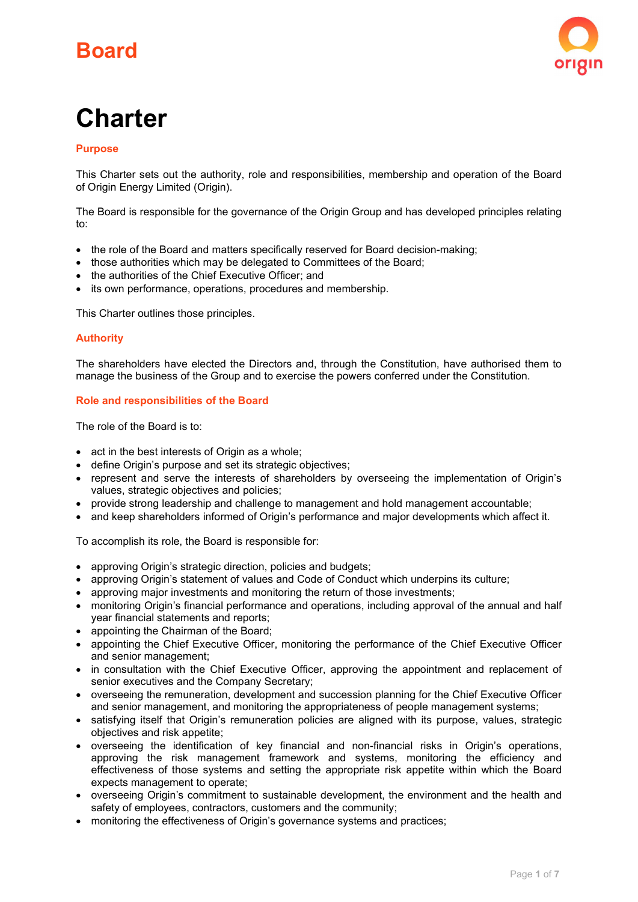# Board



# **Charter**

# **Purpose**

This Charter sets out the authority, role and responsibilities, membership and operation of the Board of Origin Energy Limited (Origin).

The Board is responsible for the governance of the Origin Group and has developed principles relating to:

- the role of the Board and matters specifically reserved for Board decision-making:
- those authorities which may be delegated to Committees of the Board;
- the authorities of the Chief Executive Officer; and
- its own performance, operations, procedures and membership.

This Charter outlines those principles.

# Authority

The shareholders have elected the Directors and, through the Constitution, have authorised them to manage the business of the Group and to exercise the powers conferred under the Constitution.

# Role and responsibilities of the Board

The role of the Board is to:

- act in the best interests of Origin as a whole;
- define Origin's purpose and set its strategic objectives;
- represent and serve the interests of shareholders by overseeing the implementation of Origin's values, strategic objectives and policies;
- provide strong leadership and challenge to management and hold management accountable;
- and keep shareholders informed of Origin's performance and major developments which affect it.

To accomplish its role, the Board is responsible for:

- approving Origin's strategic direction, policies and budgets;
- approving Origin's statement of values and Code of Conduct which underpins its culture;
- approving major investments and monitoring the return of those investments;
- monitoring Origin's financial performance and operations, including approval of the annual and half year financial statements and reports;
- appointing the Chairman of the Board;
- appointing the Chief Executive Officer, monitoring the performance of the Chief Executive Officer and senior management;
- in consultation with the Chief Executive Officer, approving the appointment and replacement of senior executives and the Company Secretary;
- overseeing the remuneration, development and succession planning for the Chief Executive Officer and senior management, and monitoring the appropriateness of people management systems;
- satisfying itself that Origin's remuneration policies are aligned with its purpose, values, strategic objectives and risk appetite;
- overseeing the identification of key financial and non-financial risks in Origin's operations, approving the risk management framework and systems, monitoring the efficiency and effectiveness of those systems and setting the appropriate risk appetite within which the Board expects management to operate;
- overseeing Origin's commitment to sustainable development, the environment and the health and safety of employees, contractors, customers and the community;
- monitoring the effectiveness of Origin's governance systems and practices;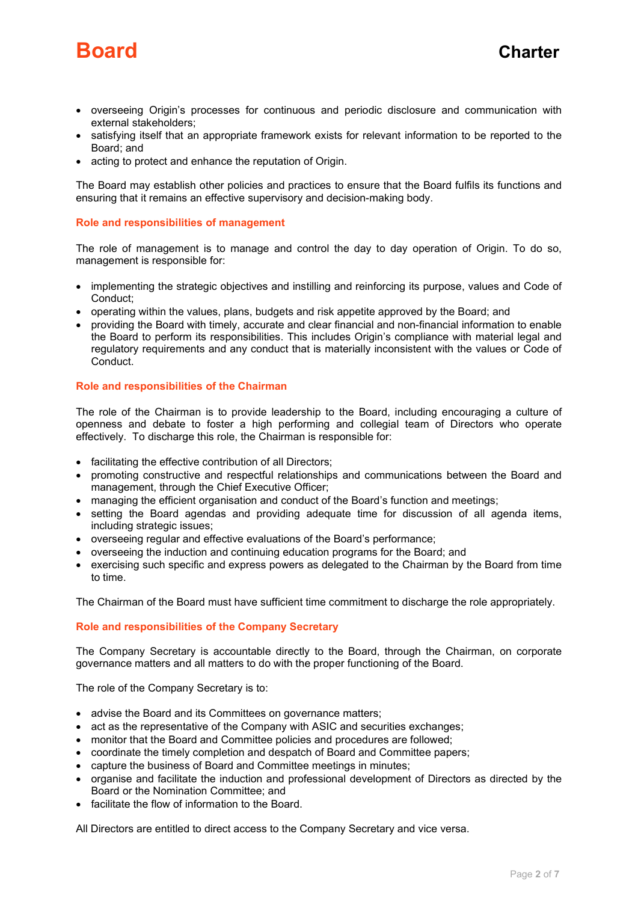

- overseeing Origin's processes for continuous and periodic disclosure and communication with external stakeholders;
- satisfying itself that an appropriate framework exists for relevant information to be reported to the Board; and
- acting to protect and enhance the reputation of Origin.

The Board may establish other policies and practices to ensure that the Board fulfils its functions and ensuring that it remains an effective supervisory and decision-making body.

# Role and responsibilities of management

The role of management is to manage and control the day to day operation of Origin. To do so, management is responsible for:

- implementing the strategic objectives and instilling and reinforcing its purpose, values and Code of Conduct;
- operating within the values, plans, budgets and risk appetite approved by the Board; and
- providing the Board with timely, accurate and clear financial and non-financial information to enable the Board to perform its responsibilities. This includes Origin's compliance with material legal and regulatory requirements and any conduct that is materially inconsistent with the values or Code of Conduct.

# Role and responsibilities of the Chairman

The role of the Chairman is to provide leadership to the Board, including encouraging a culture of openness and debate to foster a high performing and collegial team of Directors who operate effectively. To discharge this role, the Chairman is responsible for:

- facilitating the effective contribution of all Directors;
- promoting constructive and respectful relationships and communications between the Board and management, through the Chief Executive Officer;
- managing the efficient organisation and conduct of the Board's function and meetings;
- setting the Board agendas and providing adequate time for discussion of all agenda items, including strategic issues;
- overseeing regular and effective evaluations of the Board's performance;
- overseeing the induction and continuing education programs for the Board; and
- exercising such specific and express powers as delegated to the Chairman by the Board from time to time.

The Chairman of the Board must have sufficient time commitment to discharge the role appropriately.

# Role and responsibilities of the Company Secretary

The Company Secretary is accountable directly to the Board, through the Chairman, on corporate governance matters and all matters to do with the proper functioning of the Board.

The role of the Company Secretary is to:

- advise the Board and its Committees on governance matters;
- act as the representative of the Company with ASIC and securities exchanges;
- monitor that the Board and Committee policies and procedures are followed;
- coordinate the timely completion and despatch of Board and Committee papers;
- capture the business of Board and Committee meetings in minutes;
- organise and facilitate the induction and professional development of Directors as directed by the Board or the Nomination Committee; and
- facilitate the flow of information to the Board.

All Directors are entitled to direct access to the Company Secretary and vice versa.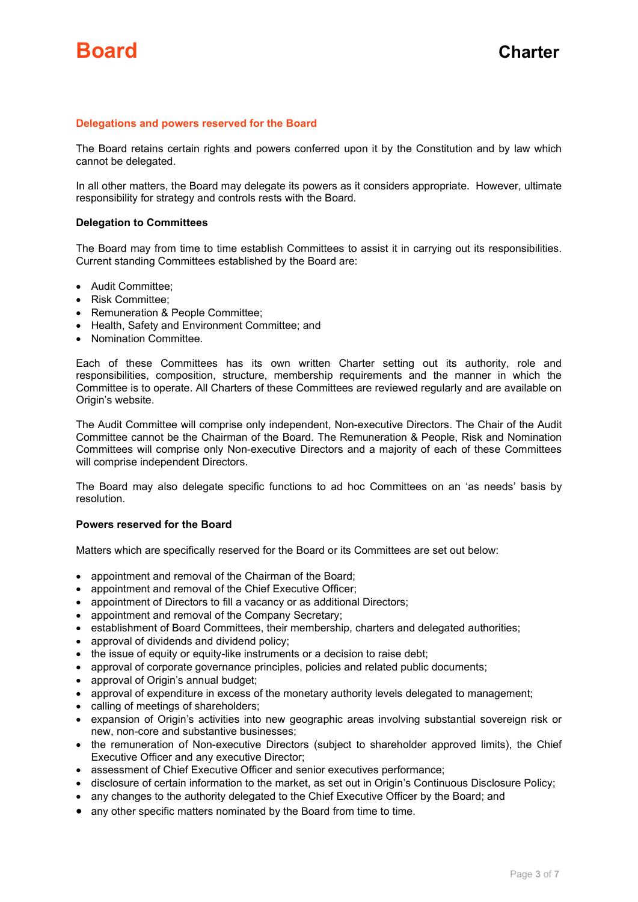# Delegations and powers reserved for the Board

The Board retains certain rights and powers conferred upon it by the Constitution and by law which cannot be delegated.

In all other matters, the Board may delegate its powers as it considers appropriate. However, ultimate responsibility for strategy and controls rests with the Board.

#### Delegation to Committees

The Board may from time to time establish Committees to assist it in carrying out its responsibilities. Current standing Committees established by the Board are:

- Audit Committee:
- Risk Committee;
- Remuneration & People Committee;
- Health, Safety and Environment Committee; and
- Nomination Committee.

Each of these Committees has its own written Charter setting out its authority, role and responsibilities, composition, structure, membership requirements and the manner in which the Committee is to operate. All Charters of these Committees are reviewed regularly and are available on Origin's website.

The Audit Committee will comprise only independent, Non-executive Directors. The Chair of the Audit Committee cannot be the Chairman of the Board. The Remuneration & People, Risk and Nomination Committees will comprise only Non-executive Directors and a majority of each of these Committees will comprise independent Directors.

The Board may also delegate specific functions to ad hoc Committees on an 'as needs' basis by resolution.

#### Powers reserved for the Board

Matters which are specifically reserved for the Board or its Committees are set out below:

- appointment and removal of the Chairman of the Board;
- appointment and removal of the Chief Executive Officer;
- appointment of Directors to fill a vacancy or as additional Directors;
- appointment and removal of the Company Secretary;
- establishment of Board Committees, their membership, charters and delegated authorities;
- approval of dividends and dividend policy;
- the issue of equity or equity-like instruments or a decision to raise debt;
- approval of corporate governance principles, policies and related public documents;
- approval of Origin's annual budget;
- approval of expenditure in excess of the monetary authority levels delegated to management;
- calling of meetings of shareholders;
- expansion of Origin's activities into new geographic areas involving substantial sovereign risk or new, non-core and substantive businesses;
- the remuneration of Non-executive Directors (subject to shareholder approved limits), the Chief Executive Officer and any executive Director;
- assessment of Chief Executive Officer and senior executives performance;
- disclosure of certain information to the market, as set out in Origin's Continuous Disclosure Policy;
- any changes to the authority delegated to the Chief Executive Officer by the Board; and
- any other specific matters nominated by the Board from time to time.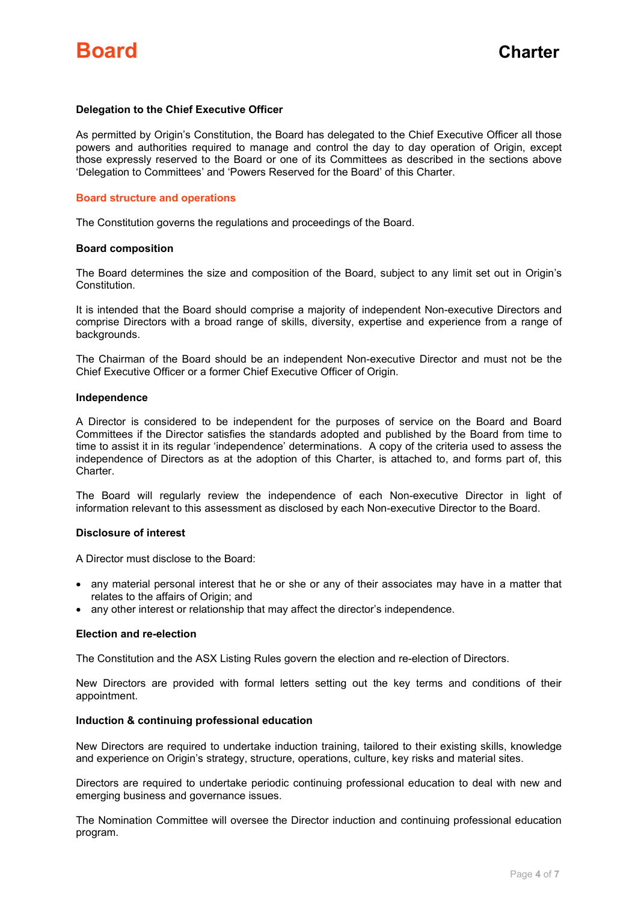# Delegation to the Chief Executive Officer

As permitted by Origin's Constitution, the Board has delegated to the Chief Executive Officer all those powers and authorities required to manage and control the day to day operation of Origin, except those expressly reserved to the Board or one of its Committees as described in the sections above 'Delegation to Committees' and 'Powers Reserved for the Board' of this Charter.

#### Board structure and operations

The Constitution governs the regulations and proceedings of the Board.

#### Board composition

The Board determines the size and composition of the Board, subject to any limit set out in Origin's Constitution.

It is intended that the Board should comprise a majority of independent Non-executive Directors and comprise Directors with a broad range of skills, diversity, expertise and experience from a range of backgrounds.

The Chairman of the Board should be an independent Non-executive Director and must not be the Chief Executive Officer or a former Chief Executive Officer of Origin.

#### Independence

A Director is considered to be independent for the purposes of service on the Board and Board Committees if the Director satisfies the standards adopted and published by the Board from time to time to assist it in its regular 'independence' determinations. A copy of the criteria used to assess the independence of Directors as at the adoption of this Charter, is attached to, and forms part of, this Charter.

The Board will regularly review the independence of each Non-executive Director in light of information relevant to this assessment as disclosed by each Non-executive Director to the Board.

# Disclosure of interest

A Director must disclose to the Board:

- any material personal interest that he or she or any of their associates may have in a matter that relates to the affairs of Origin; and
- any other interest or relationship that may affect the director's independence.

#### Election and re-election

The Constitution and the ASX Listing Rules govern the election and re-election of Directors.

New Directors are provided with formal letters setting out the key terms and conditions of their appointment.

# Induction & continuing professional education

New Directors are required to undertake induction training, tailored to their existing skills, knowledge and experience on Origin's strategy, structure, operations, culture, key risks and material sites.

Directors are required to undertake periodic continuing professional education to deal with new and emerging business and governance issues.

The Nomination Committee will oversee the Director induction and continuing professional education program.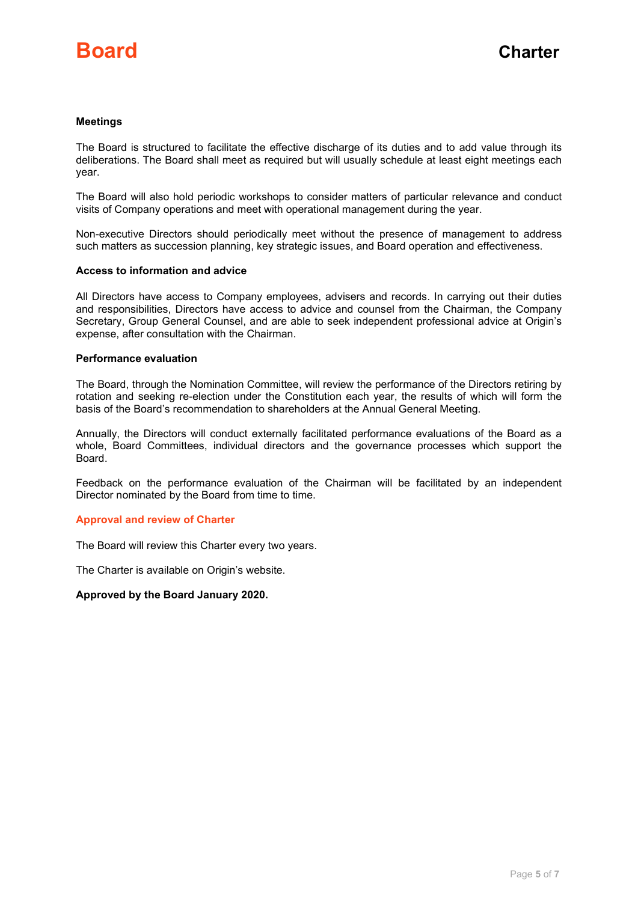# Meetings

The Board is structured to facilitate the effective discharge of its duties and to add value through its deliberations. The Board shall meet as required but will usually schedule at least eight meetings each year.

The Board will also hold periodic workshops to consider matters of particular relevance and conduct visits of Company operations and meet with operational management during the year.

Non-executive Directors should periodically meet without the presence of management to address such matters as succession planning, key strategic issues, and Board operation and effectiveness.

#### Access to information and advice

All Directors have access to Company employees, advisers and records. In carrying out their duties and responsibilities, Directors have access to advice and counsel from the Chairman, the Company Secretary, Group General Counsel, and are able to seek independent professional advice at Origin's expense, after consultation with the Chairman.

# Performance evaluation

The Board, through the Nomination Committee, will review the performance of the Directors retiring by rotation and seeking re-election under the Constitution each year, the results of which will form the basis of the Board's recommendation to shareholders at the Annual General Meeting.

Annually, the Directors will conduct externally facilitated performance evaluations of the Board as a whole, Board Committees, individual directors and the governance processes which support the Board.

Feedback on the performance evaluation of the Chairman will be facilitated by an independent Director nominated by the Board from time to time.

#### Approval and review of Charter

The Board will review this Charter every two years.

The Charter is available on Origin's website.

#### Approved by the Board January 2020.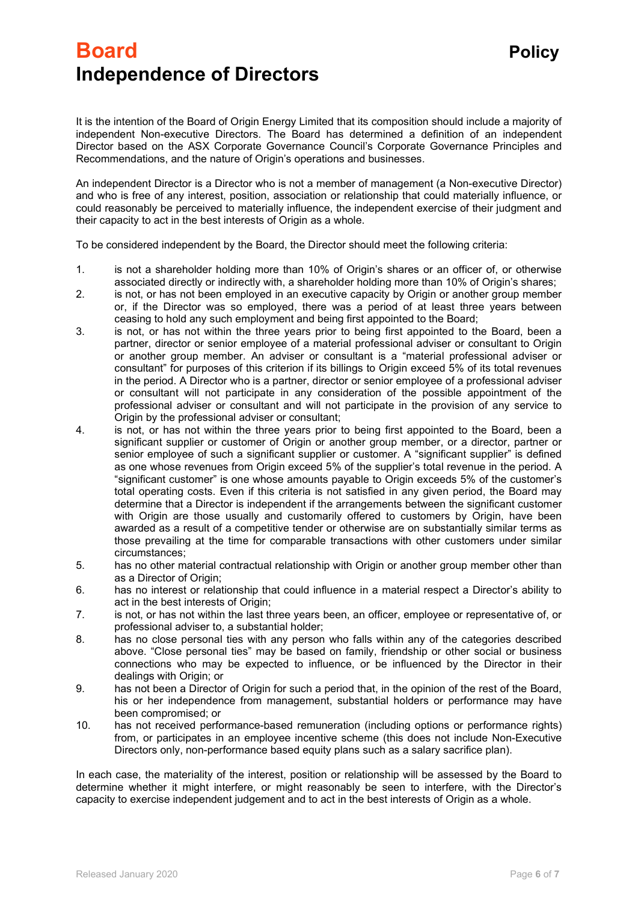# Board **Board Policy** Independence of Directors

An independent Director is a Director who is not a member of management (a Non-executive Director) and who is free of any interest, position, association or relationship that could materially influence, or could reasonably be perceived to materially influence, the independent exercise of their judgment and their capacity to act in the best interests of Origin as a whole.

To be considered independent by the Board, the Director should meet the following criteria:

- 1. is not a shareholder holding more than 10% of Origin's shares or an officer of, or otherwise associated directly or indirectly with, a shareholder holding more than 10% of Origin's shares;
- 2. is not, or has not been employed in an executive capacity by Origin or another group member or, if the Director was so employed, there was a period of at least three years between ceasing to hold any such employment and being first appointed to the Board;
- 3. is not, or has not within the three years prior to being first appointed to the Board, been a partner, director or senior employee of a material professional adviser or consultant to Origin or another group member. An adviser or consultant is a "material professional adviser or consultant" for purposes of this criterion if its billings to Origin exceed 5% of its total revenues in the period. A Director who is a partner, director or senior employee of a professional adviser or consultant will not participate in any consideration of the possible appointment of the professional adviser or consultant and will not participate in the provision of any service to Origin by the professional adviser or consultant;
- 4. is not, or has not within the three years prior to being first appointed to the Board, been a significant supplier or customer of Origin or another group member, or a director, partner or senior employee of such a significant supplier or customer. A "significant supplier" is defined as one whose revenues from Origin exceed 5% of the supplier's total revenue in the period. A "significant customer" is one whose amounts payable to Origin exceeds 5% of the customer's total operating costs. Even if this criteria is not satisfied in any given period, the Board may determine that a Director is independent if the arrangements between the significant customer with Origin are those usually and customarily offered to customers by Origin, have been awarded as a result of a competitive tender or otherwise are on substantially similar terms as those prevailing at the time for comparable transactions with other customers under similar circumstances;
- 5. has no other material contractual relationship with Origin or another group member other than as a Director of Origin;
- 6. has no interest or relationship that could influence in a material respect a Director's ability to act in the best interests of Origin;
- 7. is not, or has not within the last three years been, an officer, employee or representative of, or professional adviser to, a substantial holder;
- 8. has no close personal ties with any person who falls within any of the categories described above. "Close personal ties" may be based on family, friendship or other social or business connections who may be expected to influence, or be influenced by the Director in their dealings with Origin; or
- 9. has not been a Director of Origin for such a period that, in the opinion of the rest of the Board, his or her independence from management, substantial holders or performance may have been compromised; or
- 10. has not received performance-based remuneration (including options or performance rights) from, or participates in an employee incentive scheme (this does not include Non-Executive Directors only, non-performance based equity plans such as a salary sacrifice plan).

In each case, the materiality of the interest, position or relationship will be assessed by the Board to determine whether it might interfere, or might reasonably be seen to interfere, with the Director's capacity to exercise independent judgement and to act in the best interests of Origin as a whole.